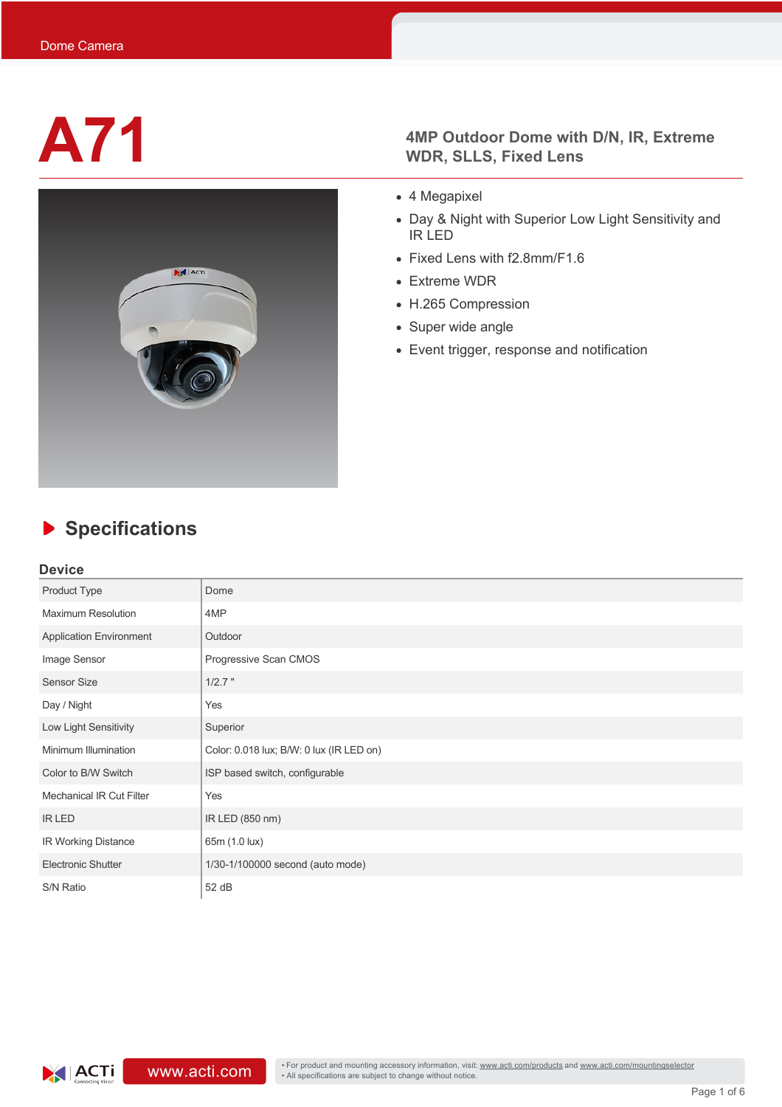

# **A71 4MP Outdoor Dome with D/N, IR, Extreme** WDR. SLLS. Fixed Lens **WDR, SLLS, Fixed Lens**

- 4 Megapixel
- Day & Night with Superior Low Light Sensitivity and IR LED
- Fixed Lens with f2.8mm/F1.6
- Extreme WDR
- H.265 Compression
- Super wide angle
- Event trigger, response and notification

# **Specifications**

## **Device**

| Product Type                    | Dome                                     |  |  |  |
|---------------------------------|------------------------------------------|--|--|--|
| <b>Maximum Resolution</b>       | 4MP                                      |  |  |  |
| <b>Application Environment</b>  | Outdoor                                  |  |  |  |
| Image Sensor                    | Progressive Scan CMOS                    |  |  |  |
| <b>Sensor Size</b>              | $1/2.7$ "                                |  |  |  |
| Day / Night                     | Yes                                      |  |  |  |
| Low Light Sensitivity           | Superior                                 |  |  |  |
| Minimum Illumination            | Color: 0.018 lux; B/W: 0 lux (IR LED on) |  |  |  |
| Color to B/W Switch             | ISP based switch, configurable           |  |  |  |
| <b>Mechanical IR Cut Filter</b> | Yes                                      |  |  |  |
| <b>IR LED</b>                   | IR LED (850 nm)                          |  |  |  |
| IR Working Distance             | 65m (1.0 lux)                            |  |  |  |
| <b>Electronic Shutter</b>       | 1/30-1/100000 second (auto mode)         |  |  |  |
| S/N Ratio                       | 52 dB                                    |  |  |  |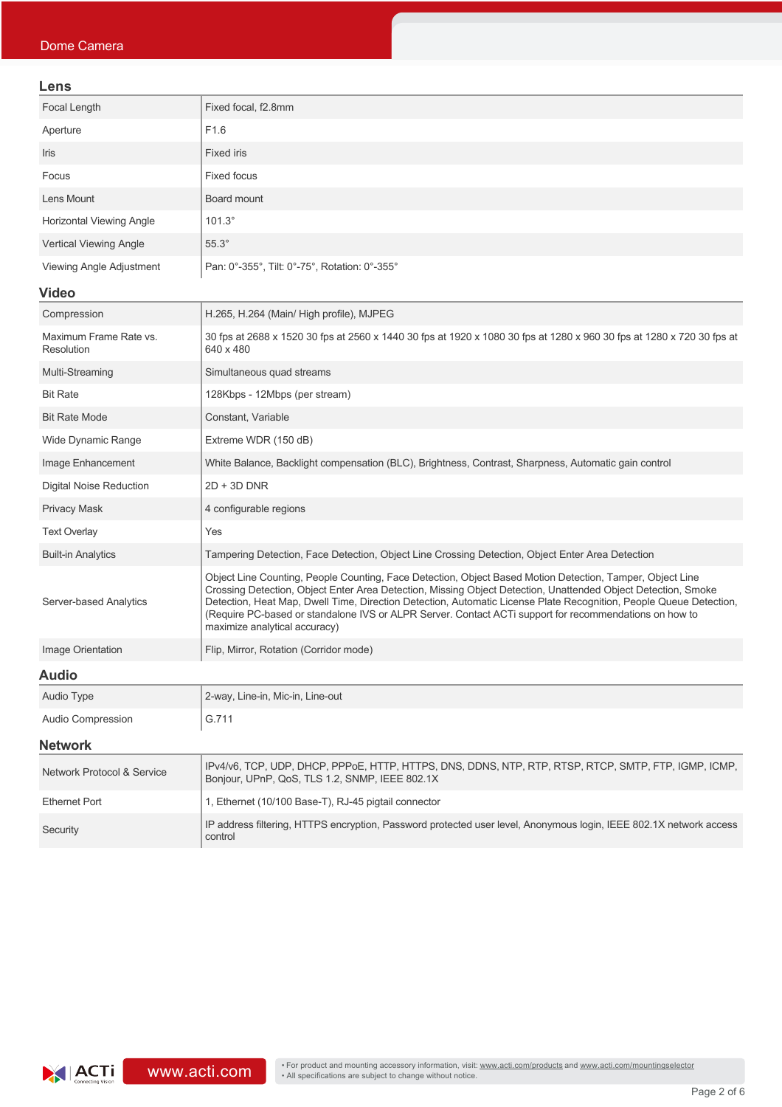| Lens                                 |                                                                                                                                                                                                                                                                                                                                                                                                                                                                                             |  |  |  |
|--------------------------------------|---------------------------------------------------------------------------------------------------------------------------------------------------------------------------------------------------------------------------------------------------------------------------------------------------------------------------------------------------------------------------------------------------------------------------------------------------------------------------------------------|--|--|--|
| Focal Length                         | Fixed focal, f2.8mm                                                                                                                                                                                                                                                                                                                                                                                                                                                                         |  |  |  |
| Aperture                             | F1.6                                                                                                                                                                                                                                                                                                                                                                                                                                                                                        |  |  |  |
| Iris                                 | <b>Fixed iris</b>                                                                                                                                                                                                                                                                                                                                                                                                                                                                           |  |  |  |
| Focus                                | <b>Fixed focus</b>                                                                                                                                                                                                                                                                                                                                                                                                                                                                          |  |  |  |
| Lens Mount                           | Board mount                                                                                                                                                                                                                                                                                                                                                                                                                                                                                 |  |  |  |
| <b>Horizontal Viewing Angle</b>      | $101.3^\circ$                                                                                                                                                                                                                                                                                                                                                                                                                                                                               |  |  |  |
| <b>Vertical Viewing Angle</b>        | $55.3^\circ$                                                                                                                                                                                                                                                                                                                                                                                                                                                                                |  |  |  |
| Viewing Angle Adjustment             | Pan: 0°-355°, Tilt: 0°-75°, Rotation: 0°-355°                                                                                                                                                                                                                                                                                                                                                                                                                                               |  |  |  |
| <b>Video</b>                         |                                                                                                                                                                                                                                                                                                                                                                                                                                                                                             |  |  |  |
| Compression                          | H.265, H.264 (Main/ High profile), MJPEG                                                                                                                                                                                                                                                                                                                                                                                                                                                    |  |  |  |
| Maximum Frame Rate vs.<br>Resolution | 30 fps at 2688 x 1520 30 fps at 2560 x 1440 30 fps at 1920 x 1080 30 fps at 1280 x 960 30 fps at 1280 x 720 30 fps at<br>640 x 480                                                                                                                                                                                                                                                                                                                                                          |  |  |  |
| Multi-Streaming                      | Simultaneous quad streams                                                                                                                                                                                                                                                                                                                                                                                                                                                                   |  |  |  |
| <b>Bit Rate</b>                      | 128Kbps - 12Mbps (per stream)                                                                                                                                                                                                                                                                                                                                                                                                                                                               |  |  |  |
| <b>Bit Rate Mode</b>                 | Constant, Variable                                                                                                                                                                                                                                                                                                                                                                                                                                                                          |  |  |  |
| Wide Dynamic Range                   | Extreme WDR (150 dB)                                                                                                                                                                                                                                                                                                                                                                                                                                                                        |  |  |  |
| Image Enhancement                    | White Balance, Backlight compensation (BLC), Brightness, Contrast, Sharpness, Automatic gain control                                                                                                                                                                                                                                                                                                                                                                                        |  |  |  |
| <b>Digital Noise Reduction</b>       | $2D + 3D$ DNR                                                                                                                                                                                                                                                                                                                                                                                                                                                                               |  |  |  |
| <b>Privacy Mask</b>                  | 4 configurable regions                                                                                                                                                                                                                                                                                                                                                                                                                                                                      |  |  |  |
| <b>Text Overlay</b>                  | Yes                                                                                                                                                                                                                                                                                                                                                                                                                                                                                         |  |  |  |
| <b>Built-in Analytics</b>            | Tampering Detection, Face Detection, Object Line Crossing Detection, Object Enter Area Detection                                                                                                                                                                                                                                                                                                                                                                                            |  |  |  |
| Server-based Analytics               | Object Line Counting, People Counting, Face Detection, Object Based Motion Detection, Tamper, Object Line<br>Crossing Detection, Object Enter Area Detection, Missing Object Detection, Unattended Object Detection, Smoke<br>Detection, Heat Map, Dwell Time, Direction Detection, Automatic License Plate Recognition, People Queue Detection,<br>(Require PC-based or standalone IVS or ALPR Server. Contact ACTi support for recommendations on how to<br>maximize analytical accuracy) |  |  |  |
| Image Orientation                    | Flip, Mirror, Rotation (Corridor mode)                                                                                                                                                                                                                                                                                                                                                                                                                                                      |  |  |  |
| <b>Audio</b>                         |                                                                                                                                                                                                                                                                                                                                                                                                                                                                                             |  |  |  |
| Audio Type                           | 2-way, Line-in, Mic-in, Line-out                                                                                                                                                                                                                                                                                                                                                                                                                                                            |  |  |  |
| Audio Compression                    | G.711                                                                                                                                                                                                                                                                                                                                                                                                                                                                                       |  |  |  |
| <b>Network</b>                       |                                                                                                                                                                                                                                                                                                                                                                                                                                                                                             |  |  |  |
| Network Protocol & Service           | IPv4/v6, TCP, UDP, DHCP, PPPoE, HTTP, HTTPS, DNS, DDNS, NTP, RTP, RTSP, RTCP, SMTP, FTP, IGMP, ICMP,<br>Bonjour, UPnP, QoS, TLS 1.2, SNMP, IEEE 802.1X                                                                                                                                                                                                                                                                                                                                      |  |  |  |
| <b>Ethernet Port</b>                 | 1, Ethernet (10/100 Base-T), RJ-45 pigtail connector                                                                                                                                                                                                                                                                                                                                                                                                                                        |  |  |  |
| Security                             | IP address filtering, HTTPS encryption, Password protected user level, Anonymous login, IEEE 802.1X network access<br>control                                                                                                                                                                                                                                                                                                                                                               |  |  |  |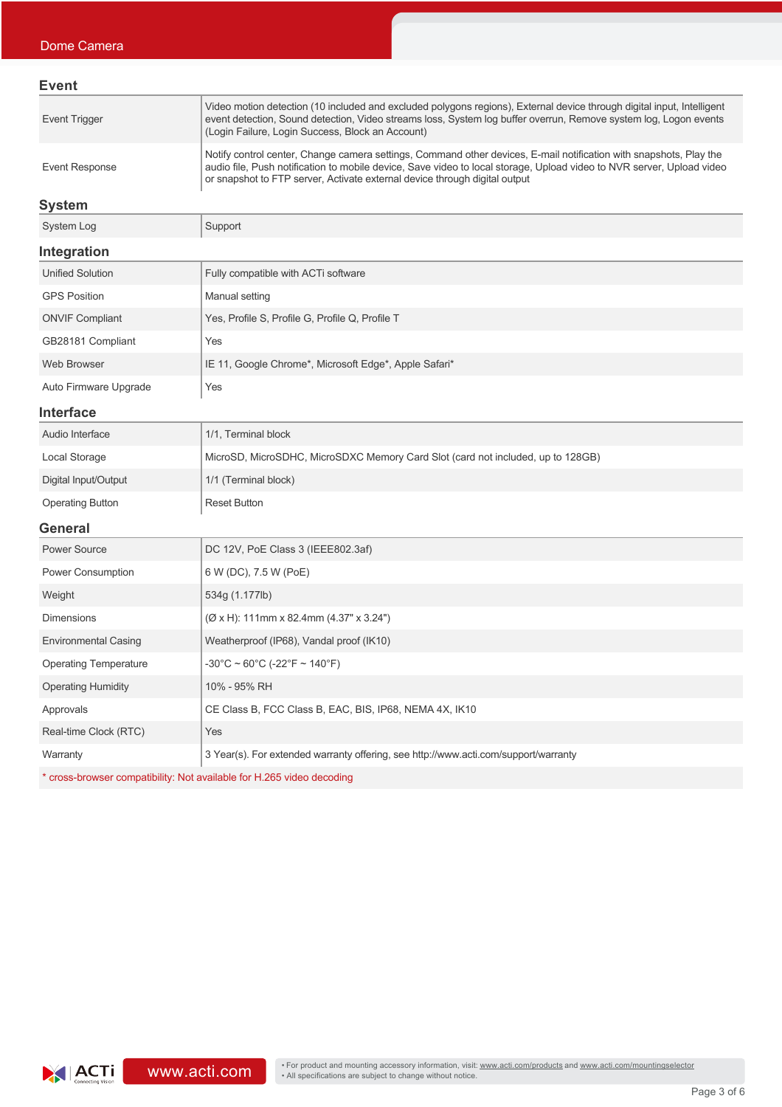| Event          |                                                                                                                                                                                                                                                                                                                           |
|----------------|---------------------------------------------------------------------------------------------------------------------------------------------------------------------------------------------------------------------------------------------------------------------------------------------------------------------------|
| Event Trigger  | Video motion detection (10 included and excluded polygons regions), External device through digital input, Intelligent<br>event detection, Sound detection, Video streams loss, System log buffer overrun, Remove system log, Logon events<br>(Login Failure, Login Success, Block an Account)                            |
| Event Response | Notify control center, Change camera settings, Command other devices, E-mail notification with snapshots, Play the<br>audio file, Push notification to mobile device, Save video to local storage, Upload video to NVR server, Upload video<br>or snapshot to FTP server, Activate external device through digital output |

### **System**

| System Log              | Support                                               |  |  |  |
|-------------------------|-------------------------------------------------------|--|--|--|
| Integration             |                                                       |  |  |  |
| <b>Unified Solution</b> | Fully compatible with ACTi software                   |  |  |  |
| <b>GPS Position</b>     | Manual setting                                        |  |  |  |
| <b>ONVIF Compliant</b>  | Yes, Profile S, Profile G, Profile Q, Profile T       |  |  |  |
| GB28181 Compliant       | Yes                                                   |  |  |  |
| Web Browser             | IE 11, Google Chrome*, Microsoft Edge*, Apple Safari* |  |  |  |
| Auto Firmware Upgrade   | Yes                                                   |  |  |  |
| .                       |                                                       |  |  |  |

### **Interface**

| Conoral                 |                                                                                 |  |  |
|-------------------------|---------------------------------------------------------------------------------|--|--|
| <b>Operating Button</b> | <b>Reset Button</b>                                                             |  |  |
| Digital Input/Output    | 1/1 (Terminal block)                                                            |  |  |
| Local Storage           | MicroSD, MicroSDHC, MicroSDXC Memory Card Slot (card not included, up to 128GB) |  |  |
| Audio Interface         | 1/1, Terminal block                                                             |  |  |

### **General**

| <b>Power Source</b>          | DC 12V, PoE Class 3 (IEEE802.3af)                                                   |  |  |  |
|------------------------------|-------------------------------------------------------------------------------------|--|--|--|
| <b>Power Consumption</b>     | 6 W (DC), 7.5 W (PoE)                                                               |  |  |  |
| Weight                       | 534g (1.177lb)                                                                      |  |  |  |
| <b>Dimensions</b>            | $(\emptyset$ x H): 111mm x 82.4mm (4.37" x 3.24")                                   |  |  |  |
| <b>Environmental Casing</b>  | Weatherproof (IP68), Vandal proof (IK10)                                            |  |  |  |
| <b>Operating Temperature</b> | $-30^{\circ}$ C ~ 60°C (-22°F ~ 140°F)                                              |  |  |  |
| <b>Operating Humidity</b>    | 10% - 95% RH                                                                        |  |  |  |
| Approvals                    | CE Class B, FCC Class B, EAC, BIS, IP68, NEMA 4X, IK10                              |  |  |  |
| Real-time Clock (RTC)        | Yes                                                                                 |  |  |  |
| Warranty                     | 3 Year(s). For extended warranty offering, see http://www.acti.com/support/warranty |  |  |  |
|                              |                                                                                     |  |  |  |

\* cross-browser compatibility: Not available for H.265 video decoding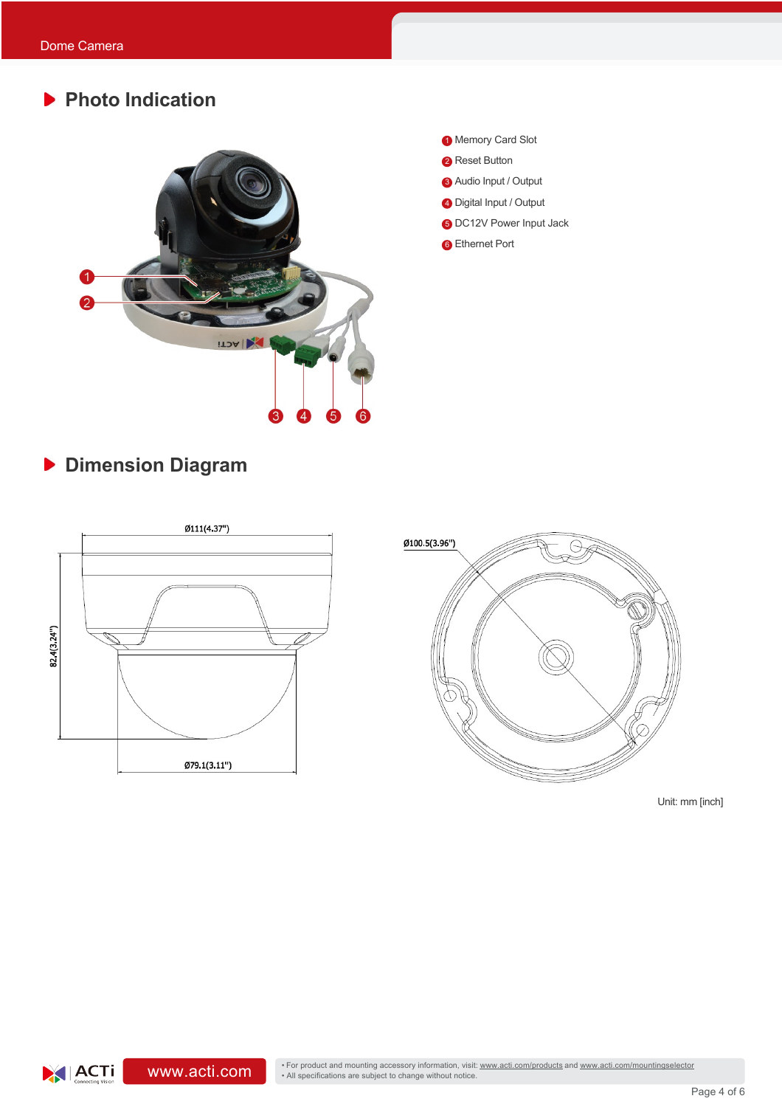# **Photo Indication**



- <sup>1</sup> Memory Card Slot
- **2** Reset Button
- 3 Audio Input / Output
- 4 Digital Input / Output
- **6** DC12V Power Input Jack
- **6** Ethernet Port

# **Dimension Diagram**

 $|ACTi|$ 





Unit: mm [inch]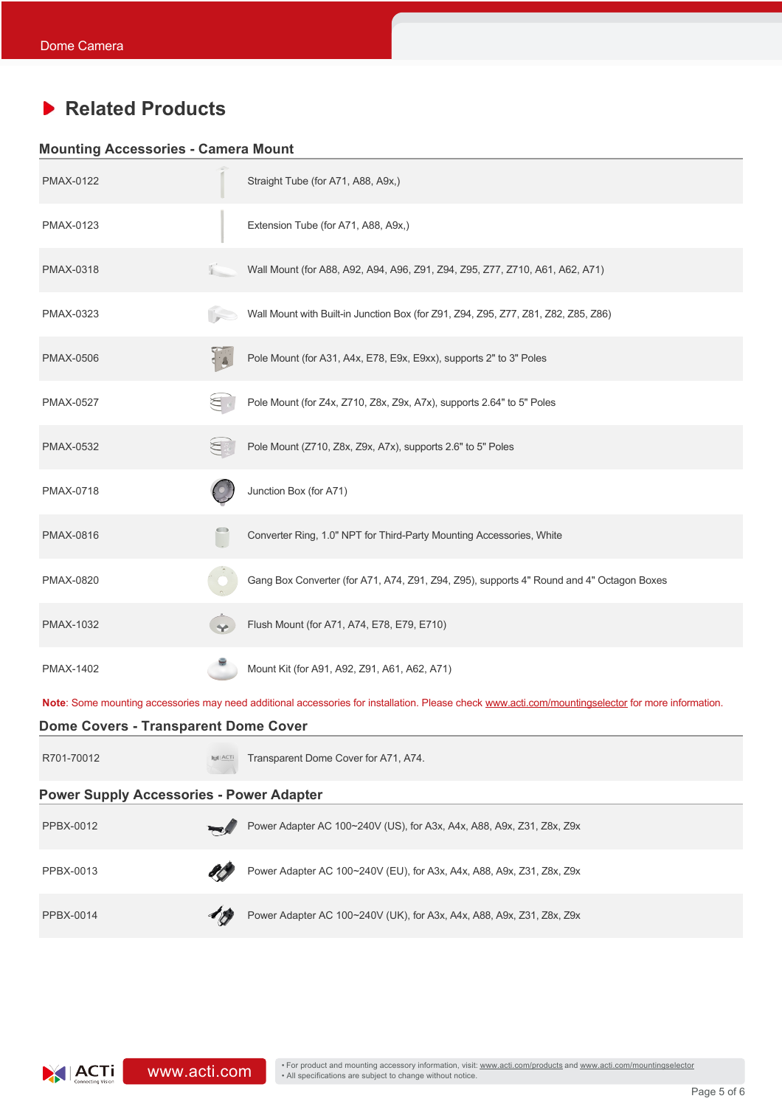## **Related Products**

### **Mounting Accessories - Camera Mount**

| <b>PMAX-0122</b>                                |  | Straight Tube (for A71, A88, A9x,)                                                                                                                 |  |  |
|-------------------------------------------------|--|----------------------------------------------------------------------------------------------------------------------------------------------------|--|--|
| PMAX-0123                                       |  | Extension Tube (for A71, A88, A9x,)                                                                                                                |  |  |
| PMAX-0318                                       |  | Wall Mount (for A88, A92, A94, A96, Z91, Z94, Z95, Z77, Z710, A61, A62, A71)                                                                       |  |  |
| PMAX-0323                                       |  | Wall Mount with Built-in Junction Box (for Z91, Z94, Z95, Z77, Z81, Z82, Z85, Z86)                                                                 |  |  |
| <b>PMAX-0506</b>                                |  | Pole Mount (for A31, A4x, E78, E9x, E9xx), supports 2" to 3" Poles                                                                                 |  |  |
| <b>PMAX-0527</b>                                |  | Pole Mount (for Z4x, Z710, Z8x, Z9x, A7x), supports 2.64" to 5" Poles                                                                              |  |  |
| <b>PMAX-0532</b>                                |  | Pole Mount (Z710, Z8x, Z9x, A7x), supports 2.6" to 5" Poles                                                                                        |  |  |
| PMAX-0718                                       |  | Junction Box (for A71)                                                                                                                             |  |  |
| <b>PMAX-0816</b>                                |  | Converter Ring, 1.0" NPT for Third-Party Mounting Accessories, White                                                                               |  |  |
| PMAX-0820                                       |  | Gang Box Converter (for A71, A74, Z91, Z94, Z95), supports 4" Round and 4" Octagon Boxes                                                           |  |  |
| PMAX-1032                                       |  | Flush Mount (for A71, A74, E78, E79, E710)                                                                                                         |  |  |
| PMAX-1402                                       |  | Mount Kit (for A91, A92, Z91, A61, A62, A71)                                                                                                       |  |  |
|                                                 |  | Note: Some mounting accessories may need additional accessories for installation. Please check www.acti.com/mountingselector for more information. |  |  |
| <b>Dome Covers - Transparent Dome Cover</b>     |  |                                                                                                                                                    |  |  |
| R701-70012                                      |  | Transparent Dome Cover for A71, A74.                                                                                                               |  |  |
| <b>Power Supply Accessories - Power Adapter</b> |  |                                                                                                                                                    |  |  |
| PPBX-0012                                       |  | Power Adapter AC 100~240V (US), for A3x, A4x, A88, A9x, Z31, Z8x, Z9x                                                                              |  |  |
| PPBX-0013                                       |  | Power Adapter AC 100~240V (EU), for A3x, A4x, A88, A9x, Z31, Z8x, Z9x                                                                              |  |  |
| <b>PPBX-0014</b>                                |  | Power Adapter AC 100~240V (UK), for A3x, A4x, A88, A9x, Z31, Z8x, Z9x                                                                              |  |  |